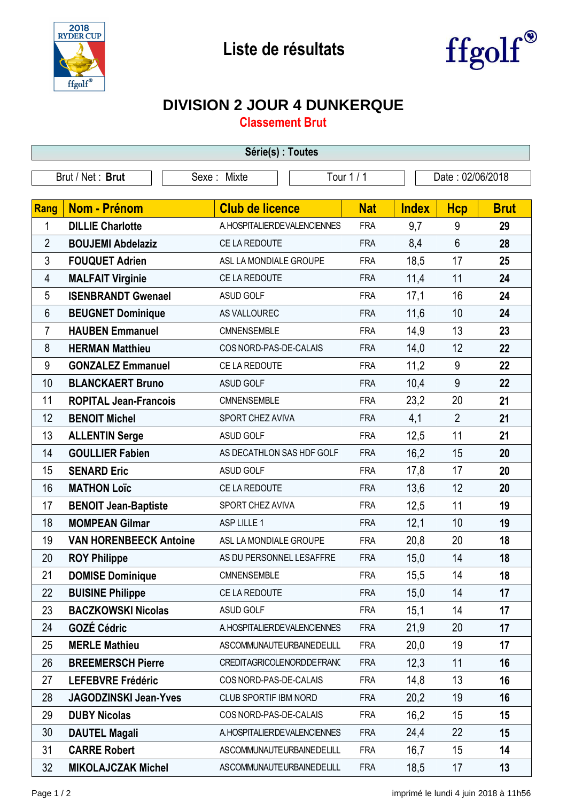



## **DIVISION 2 JOUR 4 DUNKERQUE**

**Classement Brut**

| Série(s) : Toutes |                               |                                |            |              |                  |             |  |  |  |  |
|-------------------|-------------------------------|--------------------------------|------------|--------------|------------------|-------------|--|--|--|--|
| Brut / Net: Brut  |                               | Sexe: Mixte                    | Tour 1 / 1 |              | Date: 02/06/2018 |             |  |  |  |  |
|                   |                               |                                |            |              |                  |             |  |  |  |  |
| Rang              | <b>Nom - Prénom</b>           | <b>Club de licence</b>         | <b>Nat</b> | <b>Index</b> | <b>Hcp</b>       | <b>Brut</b> |  |  |  |  |
| 1                 | <b>DILLIE Charlotte</b>       | A. HOSPITALIER DE VALENCIENNES | <b>FRA</b> | 9,7          | 9                | 29          |  |  |  |  |
| $\overline{2}$    | <b>BOUJEMI Abdelaziz</b>      | CE LA REDOUTE                  | <b>FRA</b> | 8,4          | $6\phantom{1}$   | 28          |  |  |  |  |
| 3                 | <b>FOUQUET Adrien</b>         | ASL LA MONDIALE GROUPE         | <b>FRA</b> | 18,5         | 17               | 25          |  |  |  |  |
| 4                 | <b>MALFAIT Virginie</b>       | CE LA REDOUTE                  | <b>FRA</b> | 11,4         | 11               | 24          |  |  |  |  |
| 5                 | <b>ISENBRANDT Gwenael</b>     | <b>ASUD GOLF</b>               | <b>FRA</b> | 17,1         | 16               | 24          |  |  |  |  |
| 6                 | <b>BEUGNET Dominique</b>      | AS VALLOUREC                   | <b>FRA</b> | 11,6         | 10               | 24          |  |  |  |  |
| $\overline{7}$    | <b>HAUBEN Emmanuel</b>        | CMNENSEMBLE                    | <b>FRA</b> | 14,9         | 13               | 23          |  |  |  |  |
| 8                 | <b>HERMAN Matthieu</b>        | COS NORD-PAS-DE-CALAIS         | <b>FRA</b> | 14,0         | 12               | 22          |  |  |  |  |
| 9                 | <b>GONZALEZ Emmanuel</b>      | CE LA REDOUTE                  | <b>FRA</b> | 11,2         | 9                | 22          |  |  |  |  |
| 10                | <b>BLANCKAERT Bruno</b>       | <b>ASUD GOLF</b>               | <b>FRA</b> | 10,4         | 9                | 22          |  |  |  |  |
| 11                | <b>ROPITAL Jean-Francois</b>  | CMNENSEMBLE                    | <b>FRA</b> | 23,2         | 20               | 21          |  |  |  |  |
| 12                | <b>BENOIT Michel</b>          | SPORT CHEZ AVIVA               | <b>FRA</b> | 4,1          | $\overline{2}$   | 21          |  |  |  |  |
| 13                | <b>ALLENTIN Serge</b>         | <b>ASUD GOLF</b>               | <b>FRA</b> | 12,5         | 11               | 21          |  |  |  |  |
| 14                | <b>GOULLIER Fabien</b>        | AS DECATHLON SAS HDF GOLF      | <b>FRA</b> | 16,2         | 15               | 20          |  |  |  |  |
| 15                | <b>SENARD Eric</b>            | <b>ASUD GOLF</b>               | <b>FRA</b> | 17,8         | 17               | 20          |  |  |  |  |
| 16                | <b>MATHON Loïc</b>            | CE LA REDOUTE                  | <b>FRA</b> | 13,6         | 12               | 20          |  |  |  |  |
| 17                | <b>BENOIT Jean-Baptiste</b>   | SPORT CHEZ AVIVA               | <b>FRA</b> | 12,5         | 11               | 19          |  |  |  |  |
| 18                | <b>MOMPEAN Gilmar</b>         | ASP LILLE 1                    | <b>FRA</b> | 12,1         | 10               | 19          |  |  |  |  |
| 19                | <b>VAN HORENBEECK Antoine</b> | ASL LA MONDIALE GROUPE         | <b>FRA</b> | 20,8         | 20               | 18          |  |  |  |  |
| 20                | <b>ROY Philippe</b>           | AS DU PERSONNEL LESAFFRE       | <b>FRA</b> | 15,0         | 14               | 18          |  |  |  |  |
| 21                | <b>DOMISE Dominique</b>       | CMNENSEMBLE                    | <b>FRA</b> | 15,5         | 14               | 18          |  |  |  |  |
| 22                | <b>BUISINE Philippe</b>       | CE LA REDOUTE                  | <b>FRA</b> | 15,0         | 14               | 17          |  |  |  |  |
| 23                | <b>BACZKOWSKI Nicolas</b>     | <b>ASUD GOLF</b>               | <b>FRA</b> | 15,1         | 14               | 17          |  |  |  |  |
| 24                | <b>GOZÉ Cédric</b>            | A. HOSPITALIER DE VALENCIENNES | <b>FRA</b> | 21,9         | 20               | 17          |  |  |  |  |
| 25                | <b>MERLE Mathieu</b>          | ASCOMMUNAUTEURBAINEDELILL      | <b>FRA</b> | 20,0         | 19               | 17          |  |  |  |  |
| 26                | <b>BREEMERSCH Pierre</b>      | CREDITAGRICOLENORDDEFRANC      | <b>FRA</b> | 12,3         | 11               | 16          |  |  |  |  |
| 27                | <b>LEFEBVRE Frédéric</b>      | COS NORD-PAS-DE-CALAIS         | <b>FRA</b> | 14,8         | 13               | 16          |  |  |  |  |
| 28                | <b>JAGODZINSKI Jean-Yves</b>  | CLUB SPORTIF IBM NORD          | <b>FRA</b> | 20,2         | 19               | 16          |  |  |  |  |
| 29                | <b>DUBY Nicolas</b>           | COS NORD-PAS-DE-CALAIS         | <b>FRA</b> | 16,2         | 15               | 15          |  |  |  |  |
| 30                | <b>DAUTEL Magali</b>          | A. HOSPITALIER DE VALENCIENNES | <b>FRA</b> | 24,4         | 22               | 15          |  |  |  |  |
| 31                | <b>CARRE Robert</b>           | ASCOMMUNAUTEURBAINEDELILL      | <b>FRA</b> | 16,7         | 15               | 14          |  |  |  |  |
| 32                | <b>MIKOLAJCZAK Michel</b>     | ASCOMMUNAUTEURBAINEDELILL      | <b>FRA</b> | 18,5         | 17               | 13          |  |  |  |  |